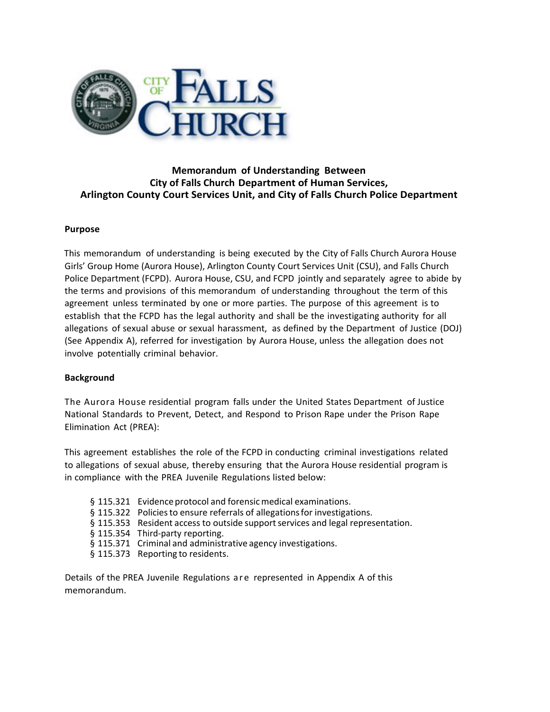

# **Memorandum of Understanding Between City of Falls Church Department of Human Services, Arlington County Court Services Unit, and City of Falls Church Police Department**

### **Purpose**

This memorandum of understanding is being executed by the City of Falls Church Aurora House Girls' Group Home (Aurora House), Arlington County Court Services Unit (CSU), and Falls Church Police Department (FCPD). Aurora House, CSU, and FCPD jointly and separately agree to abide by the terms and provisions of this memorandum of understanding throughout the term of this agreement unless terminated by one or more parties. The purpose of this agreement is to establish that the FCPD has the legal authority and shall be the investigating authority for all allegations of sexual abuse or sexual harassment, as defined by the Department of Justice (DOJ) (See Appendix A), referred for investigation by Aurora House, unless the allegation does not involve potentially criminal behavior.

## **Background**

The Aurora House residential program falls under the United States Department of Justice National Standards to Prevent, Detect, and Respond to Prison Rape under the Prison Rape Elimination Act (PREA):

This agreement establishes the role of the FCPD in conducting criminal investigations related to allegations of sexual abuse, thereby ensuring that the Aurora House residential program is in compliance with the PREA Juvenile Regulations listed below:

- § 115.321 Evidence protocol and forensic medical examinations.
- § 115.322 Policies to ensure referrals of allegations for investigations.
- § 115.353 Resident access to outside support services and legal representation.
- § 115.354 Third-party reporting.
- § 115.371 Criminal and administrative agency investigations.
- § 115.373 Reporting to residents.

Details of the PREA Juvenile Regulations are represented in Appendix A of this memorandum.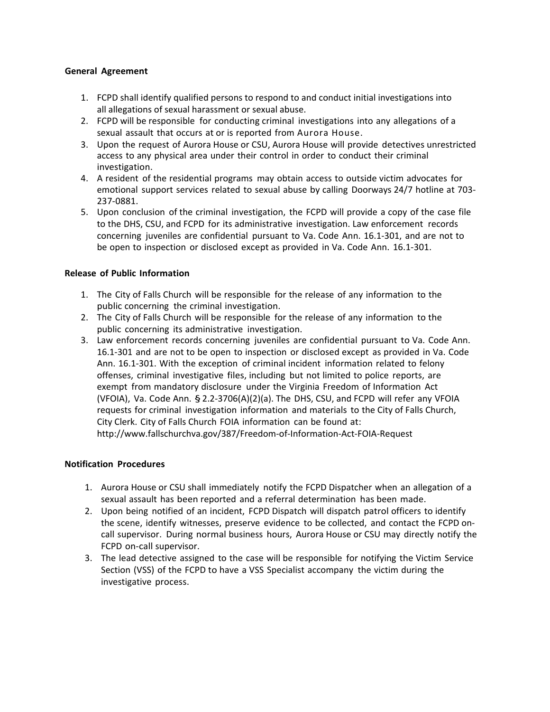### **General Agreement**

- 1. FCPD shall identify qualified persons to respond to and conduct initial investigations into all allegations of sexual harassment or sexual abuse.
- 2. FCPD will be responsible for conducting criminal investigations into any allegations of a sexual assault that occurs at or is reported from Aurora House.
- 3. Upon the request of Aurora House or CSU, Aurora House will provide detectives unrestricted access to any physical area under their control in order to conduct their criminal investigation.
- 4. A resident of the residential programs may obtain access to outside victim advocates for emotional support services related to sexual abuse by calling Doorways 24/7 hotline at 703‐ 237‐0881.
- 5. Upon conclusion of the criminal investigation, the FCPD will provide a copy of the case file to the DHS, CSU, and FCPD for its administrative investigation. Law enforcement records concerning juveniles are confidential pursuant to Va. Code Ann. 16.1‐301, and are not to be open to inspection or disclosed except as provided in Va. Code Ann. 16.1‐301.

### **Release of Public Information**

- 1. The City of Falls Church will be responsible for the release of any information to the public concerning the criminal investigation.
- 2. The City of Falls Church will be responsible for the release of any information to the public concerning its administrative investigation.
- 3. Law enforcement records concerning juveniles are confidential pursuant to Va. Code Ann. 16.1‐301 and are not to be open to inspection or disclosed except as provided in Va. Code Ann. 16.1‐301. With the exception of criminal incident information related to felony offenses, criminal investigative files, including but not limited to police reports, are exempt from mandatory disclosure under the Virginia Freedom of Information Act (VFOIA), Va. Code Ann.  $\S$  2.2-3706(A)(2)(a). The DHS, CSU, and FCPD will refer any VFOIA requests for criminal investigation information and materials to the City of Falls Church, City Clerk. City of Falls Church FOIA information can be found at: http://www.fallschurchva.gov/387/Freedom‐of‐Information‐Act‐FOIA‐Request

#### **Notification Procedures**

- 1. Aurora House or CSU shall immediately notify the FCPD Dispatcher when an allegation of a sexual assault has been reported and a referral determination has been made.
- 2. Upon being notified of an incident, FCPD Dispatch will dispatch patrol officers to identify the scene, identify witnesses, preserve evidence to be collected, and contact the FCPD on‐ call supervisor. During normal business hours, Aurora House or CSU may directly notify the FCPD on‐call supervisor.
- 3. The lead detective assigned to the case will be responsible for notifying the Victim Service Section (VSS) of the FCPD to have a VSS Specialist accompany the victim during the investigative process.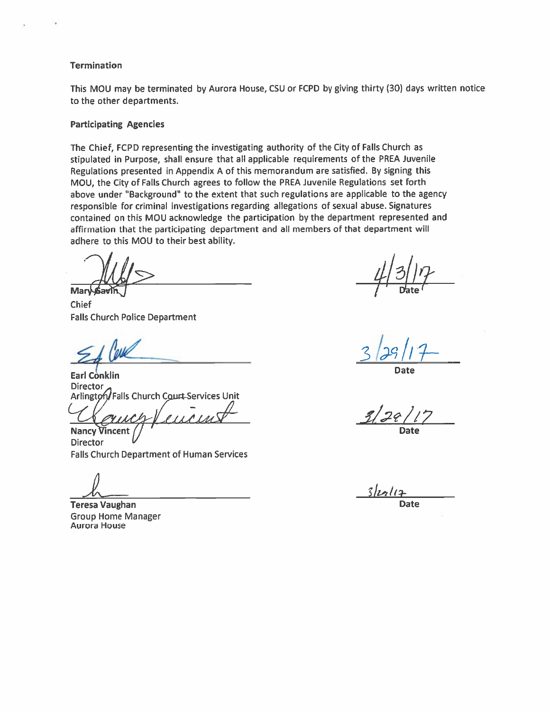### **Termination**

This MOU may be terminated by Aurora House, CSU or FCPD by giving thirty (30) days written notice to the other departments.

#### **Participating Agencies**

The Chief, FCPD representing the investigating authority of the City of Falls Church as stipulated in Purpose, shall ensure that all applicable requirements of the PREA Juvenile Regulations presented in Appendix A of this memorandum are satisfied. By signing this MOU, the City of Falls Church agrees to follow the PREA Juvenile Regulations set forth above under "Background" to the extent that such regulations are applicable to the agency responsible for criminal investigations regarding allegations of sexual abuse. Signatures contained on this MOU acknowledge the participation by the department represented and affirmation that the participating department and all members of that department will adhere to this MOU to their best ability.

**Mary Sav** 

Chief **Falls Church Police Department** 

**Earl Conklin Director** Arlington/Falls Church Court-Services Unit

**Nancy Vincent** 

**Director Falls Church Department of Human Services** 

**Teresa Vaughan Group Home Manager** Aurora House

Date

 $20$ Date

 $3$ legliz **Date**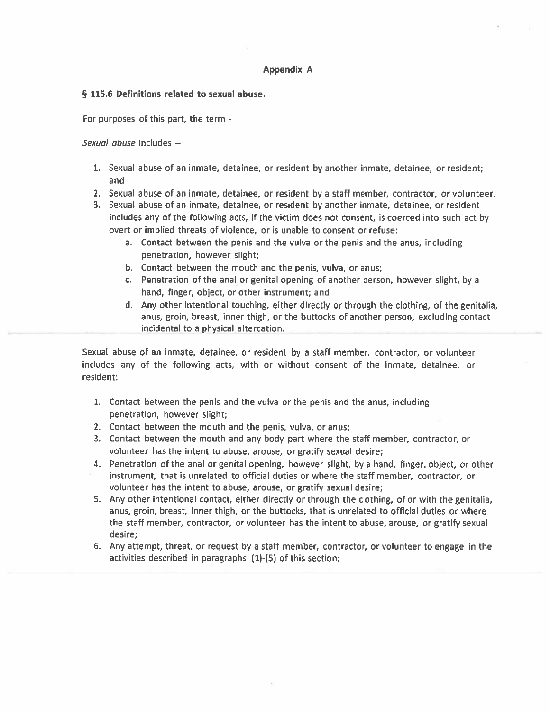### **Appendix A**

#### § 115.6 Definitions related to sexual abuse.

For purposes of this part, the term -

Sexual abuse includes -

- 1. Sexual abuse of an inmate, detainee, or resident by another inmate, detainee, or resident; and
- 2. Sexual abuse of an inmate, detainee, or resident by a staff member, contractor, or volunteer.
- 3. Sexual abuse of an inmate, detainee, or resident by another inmate, detainee, or resident includes any of the following acts, if the victim does not consent, is coerced into such act by overt or implied threats of violence, or is unable to consent or refuse:
	- a. Contact between the penis and the vulva or the penis and the anus, including penetration, however slight;
	- b. Contact between the mouth and the penis, vulva, or anus;
	- c. Penetration of the anal or genital opening of another person, however slight, by a hand, finger, object, or other instrument; and
	- d. Any other intentional touching, either directly or through the clothing, of the genitalia, anus, groin, breast, inner thigh, or the buttocks of another person, excluding contact incidental to a physical altercation.

Sexual abuse of an inmate, detainee, or resident by a staff member, contractor, or volunteer includes any of the following acts, with or without consent of the inmate, detainee, or resident:

- 1. Contact between the penis and the vulva or the penis and the anus, including penetration, however slight;
- 2. Contact between the mouth and the penis, vulva, or anus;
- 3. Contact between the mouth and any body part where the staff member, contractor, or volunteer has the intent to abuse, arouse, or gratify sexual desire;
- 4. Penetration of the anal or genital opening, however slight, by a hand, finger, object, or other instrument, that is unrelated to official duties or where the staff member, contractor, or volunteer has the intent to abuse, arouse, or gratify sexual desire;
- 5. Any other intentional contact, either directly or through the clothing, of or with the genitalia, anus, groin, breast, inner thigh, or the buttocks, that is unrelated to official duties or where the staff member, contractor, or volunteer has the intent to abuse, arouse, or gratify sexual desire;
- 6. Any attempt, threat, or request by a staff member, contractor, or volunteer to engage in the activities described in paragraphs (1)-(5) of this section;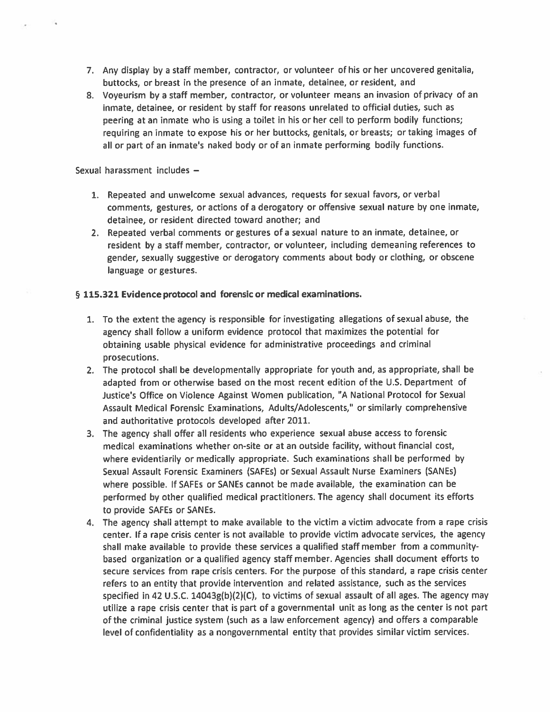- 7. Any display by a staff member, contractor, or volunteer of his or her uncovered genitalia, buttocks, or breast in the presence of an inmate, detainee, or resident, and
- 8. Voveurism by a staff member, contractor, or volunteer means an invasion of privacy of an inmate, detainee, or resident by staff for reasons unrelated to official duties, such as peering at an inmate who is using a toilet in his or her cell to perform bodily functions; requiring an inmate to expose his or her buttocks, genitals, or breasts; or taking images of all or part of an inmate's naked body or of an inmate performing bodily functions.

Sexual harassment includes -

- 1. Repeated and unwelcome sexual advances, requests for sexual favors, or verbal comments, gestures, or actions of a derogatory or offensive sexual nature by one inmate, detainee, or resident directed toward another; and
- 2. Repeated verbal comments or gestures of a sexual nature to an inmate, detainee, or resident by a staff member, contractor, or volunteer, including demeaning references to gender, sexually suggestive or derogatory comments about body or clothing, or obscene language or gestures.

## § 115.321 Evidence protocol and forensic or medical examinations.

- 1. To the extent the agency is responsible for investigating allegations of sexual abuse, the agency shall follow a uniform evidence protocol that maximizes the potential for obtaining usable physical evidence for administrative proceedings and criminal prosecutions.
- 2. The protocol shall be developmentally appropriate for youth and, as appropriate, shall be adapted from or otherwise based on the most recent edition of the U.S. Department of Justice's Office on Violence Against Women publication, "A National Protocol for Sexual Assault Medical Forensic Examinations, Adults/Adolescents," or similarly comprehensive and authoritative protocols developed after 2011.
- 3. The agency shall offer all residents who experience sexual abuse access to forensic medical examinations whether on-site or at an outside facility, without financial cost, where evidentiarily or medically appropriate. Such examinations shall be performed by Sexual Assault Forensic Examiners (SAFEs) or Sexual Assault Nurse Examiners (SANEs) where possible. If SAFEs or SANEs cannot be made available, the examination can be performed by other qualified medical practitioners. The agency shall document its efforts to provide SAFEs or SANEs.
- 4. The agency shall attempt to make available to the victim a victim advocate from a rape crisis center. If a rape crisis center is not available to provide victim advocate services, the agency shall make available to provide these services a qualified staff member from a communitybased organization or a qualified agency staff member. Agencies shall document efforts to secure services from rape crisis centers. For the purpose of this standard, a rape crisis center refers to an entity that provide intervention and related assistance, such as the services specified in 42 U.S.C.  $14043g(b)(2)(C)$ , to victims of sexual assault of all ages. The agency may utilize a rape crisis center that is part of a governmental unit as long as the center is not part of the criminal justice system (such as a law enforcement agency) and offers a comparable level of confidentiality as a nongovernmental entity that provides similar victim services.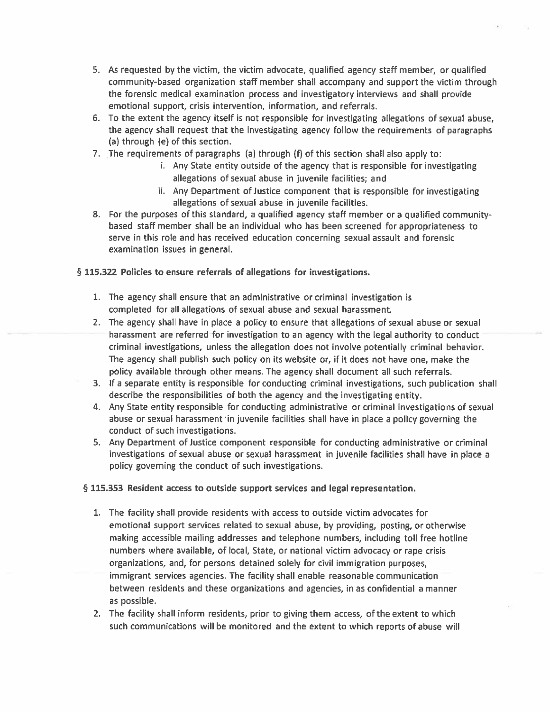- 5. As requested by the victim, the victim advocate, qualified agency staff member, or qualified community-based organization staff member shall accompany and support the victim through the forensic medical examination process and investigatory interviews and shall provide emotional support, crisis intervention, information, and referrals.
- 6. To the extent the agency itself is not responsible for investigating allegations of sexual abuse, the agency shall request that the investigating agency follow the requirements of paragraphs (a) through (e) of this section.
- 7. The requirements of paragraphs (a) through (f) of this section shall also apply to:
	- i. Any State entity outside of the agency that is responsible for investigating allegations of sexual abuse in juvenile facilities; and
	- ii. Any Department of Justice component that is responsible for investigating allegations of sexual abuse in juvenile facilities.
- 8. For the purposes of this standard, a qualified agency staff member or a qualified communitybased staff member shall be an individual who has been screened for appropriateness to serve in this role and has received education concerning sexual assault and forensic examination issues in general.

## § 115.322 Policies to ensure referrals of allegations for investigations.

- 1. The agency shall ensure that an administrative or criminal investigation is completed for all allegations of sexual abuse and sexual harassment.
- 2. The agency shall have in place a policy to ensure that allegations of sexual abuse or sexual harassment are referred for investigation to an agency with the legal authority to conduct criminal investigations, unless the allegation does not involve potentially criminal behavior. The agency shall publish such policy on its website or, if it does not have one, make the policy available through other means. The agency shall document all such referrals.
- 3. If a separate entity is responsible for conducting criminal investigations, such publication shall describe the responsibilities of both the agency and the investigating entity.
- 4. Any State entity responsible for conducting administrative or criminal investigations of sexual abuse or sexual harassment in juvenile facilities shall have in place a policy governing the conduct of such investigations.
- 5. Any Department of Justice component responsible for conducting administrative or criminal investigations of sexual abuse or sexual harassment in juvenile facilities shall have in place a policy governing the conduct of such investigations.

## § 115.353 Resident access to outside support services and legal representation.

- 1. The facility shall provide residents with access to outside victim advocates for emotional support services related to sexual abuse, by providing, posting, or otherwise making accessible mailing addresses and telephone numbers, including toll free hotline numbers where available, of local, State, or national victim advocacy or rape crisis organizations, and, for persons detained solely for civil immigration purposes, immigrant services agencies. The facility shall enable reasonable communication between residents and these organizations and agencies, in as confidential a manner as possible.
- 2. The facility shall inform residents, prior to giving them access, of the extent to which such communications will be monitored and the extent to which reports of abuse will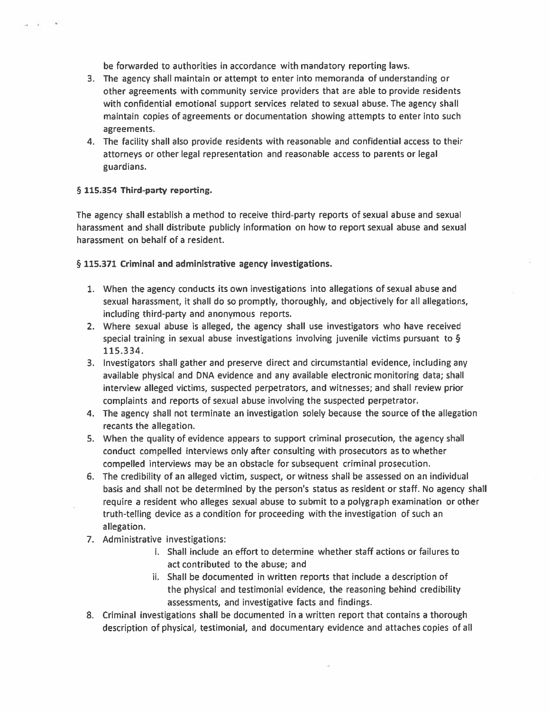be forwarded to authorities in accordance with mandatory reporting laws.

- 3. The agency shall maintain or attempt to enter into memoranda of understanding or other agreements with community service providers that are able to provide residents with confidential emotional support services related to sexual abuse. The agency shall maintain copies of agreements or documentation showing attempts to enter into such agreements.
- 4. The facility shall also provide residents with reasonable and confidential access to their attorneys or other legal representation and reasonable access to parents or legal guardians.

### § 115.354 Third-party reporting.

The agency shall establish a method to receive third-party reports of sexual abuse and sexual harassment and shall distribute publicly information on how to report sexual abuse and sexual harassment on behalf of a resident.

### § 115.371 Criminal and administrative agency investigations.

- 1. When the agency conducts its own investigations into allegations of sexual abuse and sexual harassment, it shall do so promptly, thoroughly, and objectively for all allegations, including third-party and anonymous reports.
- 2. Where sexual abuse is alleged, the agency shall use investigators who have received special training in sexual abuse investigations involving juvenile victims pursuant to § 115.334.
- 3. Investigators shall gather and preserve direct and circumstantial evidence, including any available physical and DNA evidence and any available electronic monitoring data; shall interview alleged victims, suspected perpetrators, and witnesses; and shall review prior complaints and reports of sexual abuse involving the suspected perpetrator.
- 4. The agency shall not terminate an investigation solely because the source of the allegation recants the allegation.
- 5. When the quality of evidence appears to support criminal prosecution, the agency shall conduct compelled interviews only after consulting with prosecutors as to whether compelled interviews may be an obstacle for subsequent criminal prosecution.
- 6. The credibility of an alleged victim, suspect, or witness shall be assessed on an individual basis and shall not be determined by the person's status as resident or staff. No agency shall require a resident who alleges sexual abuse to submit to a polygraph examination or other truth-telling device as a condition for proceeding with the investigation of such an allegation.
- 7. Administrative investigations:
	- i. Shall include an effort to determine whether staff actions or failures to act contributed to the abuse; and
	- ii. Shall be documented in written reports that include a description of the physical and testimonial evidence, the reasoning behind credibility assessments, and investigative facts and findings.
- 8. Criminal investigations shall be documented in a written report that contains a thorough description of physical, testimonial, and documentary evidence and attaches copies of all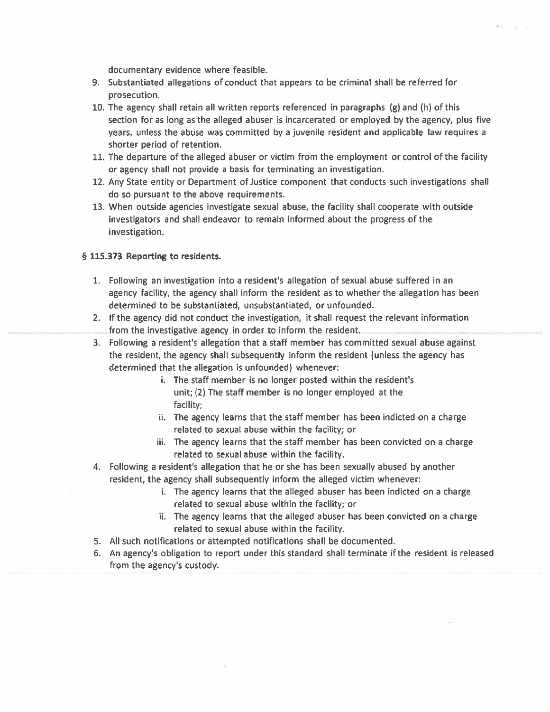documentary evidence where feasible.

- 9. Substantiated allegations of conduct that appears to be criminal shall be referred for prosecution.
- 10. The agency shall retain all written reports referenced in paragraphs (g) and (h) of this section for as long as the alleged abuser is incarcerated or employed by the agency, plus five years, unless the abuse was committed by a juvenile resident and applicable law requires a shorter period of retention.
- 11. The departure of the alleged abuser or victim from the employment or control of the facility or agency shall not provide a basis for terminating an investigation.
- 12. Any State entity or Department of Justice component that conducts such investigations shall do so pursuant to the above requirements.
- 13. When outside agencies investigate sexual abuse, the facility shall cooperate with outside investigators and shall endeavor to remain informed about the progress of the investigation.

### § 115.373 Reporting to residents.

- 1. Following an investigation into a resident's allegation of sexual abuse suffered in an agency facility, the agency shall inform the resident as to whether the allegation has been determined to be substantiated, unsubstantiated, or unfounded.
- 2. If the agency did not conduct the investigation, it shall request the relevant information from the investigative agency in order to inform the resident.
- 3. Following a resident's allegation that a staff member has committed sexual abuse against the resident, the agency shall subsequently inform the resident (unless the agency has determined that the allegation is unfounded) whenever:
	- i. The staff member is no longer posted within the resident's unit; (2) The staff member is no longer employed at the facility;
	- ii. The agency learns that the staff member has been indicted on a charge related to sexual abuse within the facility; or
	- iii. The agency learns that the staff member has been convicted on a charge related to sexual abuse within the facility.
- 4. Following a resident's allegation that he or she has been sexually abused by another resident, the agency shall subsequently inform the alleged victim whenever:
	- i. The agency learns that the alleged abuser has been indicted on a charge related to sexual abuse within the facility; or
	- ii. The agency learns that the alleged abuser has been convicted on a charge related to sexual abuse within the facility.
- 5. All such notifications or attempted notifications shall be documented.
- 6. An agency's obligation to report under this standard shall terminate if the resident is released from the agency's custody.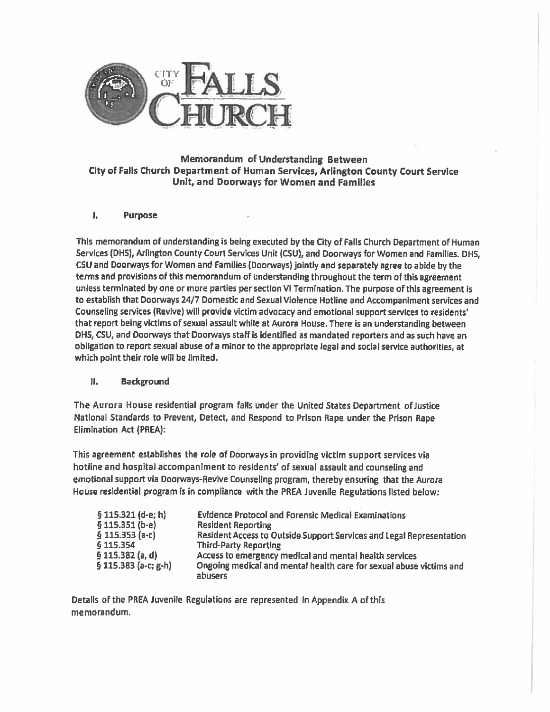

## Memorandum of Understanding Between City of Falls Church Department of Human Services, Arlington County Court Service Unit, and Doorways for Women and Families

#### ł. **Purpose**

This memorandum of understanding is being executed by the City of Falls Church Department of Human Services (DHS), Arlington County Court Services Unit (CSU), and Doorways for Women and Families. DHS. CSU and Doorways for Women and Families (Doorways) jointly and separately agree to abide by the terms and provisions of this memorandum of understanding throughout the term of this agreement unless terminated by one or more parties per section VI Termination. The purpose of this agreement is to establish that Doorways 24/7 Domestic and Sexual Violence Hotline and Accompaniment services and Counseling services (Revive) will provide victim advocacy and emotional support services to residents' that report being victims of sexual assault while at Aurora House. There is an understanding between DHS, CSU, and Doorways that Doorways staff is identified as mandated reporters and as such have an obligation to report sexual abuse of a minor to the appropriate legal and social service authorities, at which point their role will be limited.

#### $\mathbf{II}$ **Background**

The Aurora House residential program falls under the United States Department of Justice National Standards to Prevent, Detect, and Respond to Prison Rape under the Prison Rape **Elimination Act (PREA):** 

This agreement establishes the role of Doorways in providing victim support services via hotline and hospital accompaniment to residents' of sexual assault and counseling and emotional support via Doorways-Revive Counseling program, thereby ensuring that the Aurora House residential program is in compliance with the PREA Juvenile Regulations listed below:

| § 115.321 (d-e; h)    | <b>Evidence Protocol and Forensic Medical Examinations</b>                            |
|-----------------------|---------------------------------------------------------------------------------------|
| $$115.351(b-e)$       | <b>Resident Reporting</b>                                                             |
| $$115.353 (a-c)$      | Resident Access to Outside Support Services and Legal Representation                  |
| § 115.354             | <b>Third-Party Reporting</b>                                                          |
| $$115.382$ (a, d)     | Access to emergency medical and mental health services                                |
| $5115.383$ (a-c; g-h) | Ongoing medical and mental health care for sexual abuse victims and<br><b>abusers</b> |

Details of the PREA Juvenile Regulations are represented in Appendix A of this memorandum.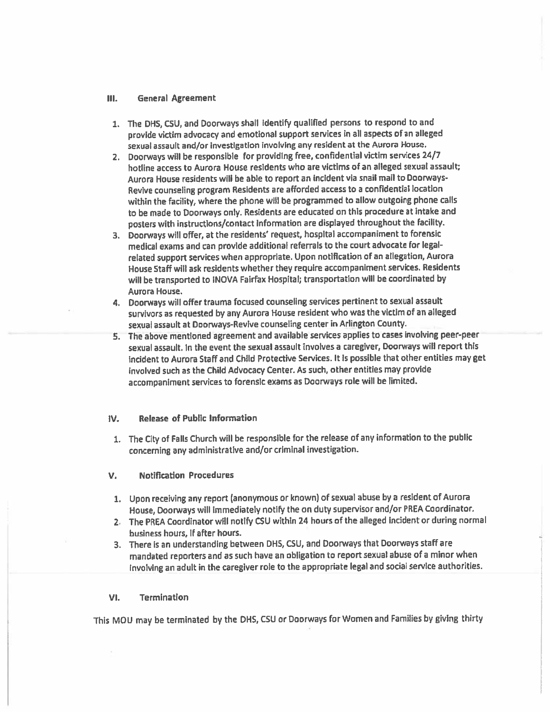#### Ш. **General Agreement**

- 1. The DHS, CSU, and Doorways shall identify qualified persons to respond to and provide victim advocacy and emotional support services in all aspects of an alleged sexual assault and/or investigation involving any resident at the Aurora House.
- 2. Doorways will be responsible for providing free, confidential victim services 24/7 hotline access to Aurora House residents who are victims of an alleged sexual assault; Aurora House residents will be able to report an incident via snail mail to Doorways-Revive counseling program Residents are afforded access to a confidential location within the facility, where the phone will be programmed to allow outgoing phone calls to be made to Doorways only. Residents are educated on this procedure at intake and posters with instructions/contact information are displayed throughout the facility.
- 3. Doorways will offer, at the residents' request, hospital accompaniment to forensic medical exams and can provide additional referrals to the court advocate for legalrelated support services when appropriate. Upon notification of an allegation, Aurora House Staff will ask residents whether they require accompaniment services. Residents will be transported to INOVA Fairfax Hospital; transportation will be coordinated by Aurora House.
- 4. Doorways will offer trauma focused counseling services pertinent to sexual assault survivors as requested by any Aurora House resident who was the victim of an alleged sexual assault at Doorways-Revive counseling center in Arlington County.
- 5. The above mentioned agreement and available services applies to cases involving peer-peer sexual assault. In the event the sexual assault involves a caregiver, Doorways will report this incident to Aurora Staff and Child Protective Services. It is possible that other entities may get involved such as the Child Advocacy Center. As such, other entities may provide accompaniment services to forensic exams as Doorways role will be limited.

#### Release of Public Information IV.

- 1. The City of Falls Church will be responsible for the release of any information to the public concerning any administrative and/or criminal investigation.
- v. **Notification Procedures**
- 1. Upon receiving any report (anonymous or known) of sexual abuse by a resident of Aurora House, Doorways will immediately notify the on duty supervisor and/or PREA Coordinator.
- 2. The PREA Coordinator will notify CSU within 24 hours of the alleged incident or during normal business hours, if after hours.
- 3. There is an understanding between DHS, CSU, and Doorways that Doorways staff are mandated reporters and as such have an obligation to report sexual abuse of a minor when involving an adult in the caregiver role to the appropriate legal and social service authorities.

#### VI. **Termination**

This MOU may be terminated by the DHS, CSU or Doorways for Women and Families by giving thirty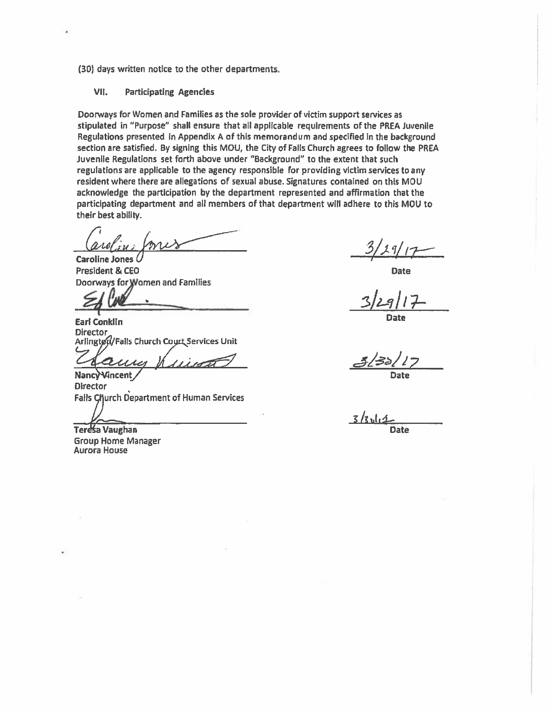(30) days written notice to the other departments;

#### VII. **Participating Agencies**

Doorways for Women and Families as the sole provider of victim support services as stipulated in "Purpose" shall ensure that all applicable requirements of the PREA Juvenile Regulations presented in Appendix A of this memorandum and specified in the background section are satisfied. By signing this MOU, the City of Falls Church agrees to follow the PREA Juvenile Regulations set forth above under "Background" to the extent that such regulations are applicable to the agency responsible for providing victim services to any resident where there are allegations of sexual abuse. Signatures contained on this MOU acknowledge the participation by the department represented and affirmation that the participating department and all members of that department will adhere to this MOU to their best ability.

Caroline Jones ( President & CEO Doorways for Women and Families

**Earl Conklin Director** Arlington/Fails Church Court Services Unit

Nancy Vincent **Director Falls Church Department of Human Services** 

Teresa Vaughan

**Group Home Manager Aurora House** 

**Date** 

Date

 $z / z$ <sup>1</sup> **Date**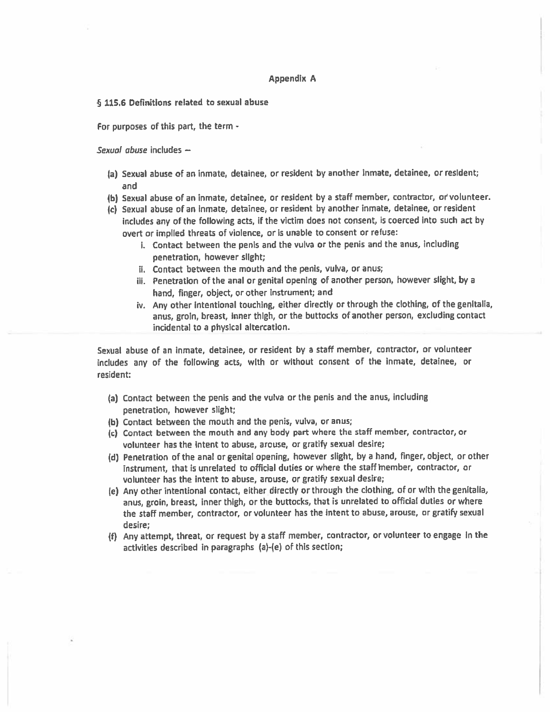#### **Appendix A**

6 115.6 Definitions related to sexual abuse

For purposes of this part, the term -

Sexual abuse includes -

- (a) Sexual abuse of an inmate, detainee, or resident by another inmate, detainee, or resident; and
- (b) Sexual abuse of an inmate, detainee, or resident by a staff member, contractor, or volunteer.
- (c) Sexual abuse of an inmate, detainee, or resident by another inmate, detainee, or resident includes any of the following acts, if the victim does not consent, is coerced into such act by overt or implied threats of violence, or is unable to consent or refuse:
	- i. Contact between the penis and the vulva or the penis and the anus, including penetration, however slight;
	- ii. Contact between the mouth and the penis, vulva, or anus;
	- iii. Penetration of the anal or genital opening of another person, however slight, by a hand, finger, object, or other instrument; and
	- iv. Any other intentional touching, either directly or through the clothing, of the genitalia, anus, groin, breast, inner thigh, or the buttocks of another person, excluding contact incidental to a physical altercation.

Sexual abuse of an inmate, detainee, or resident by a staff member, contractor, or volunteer includes any of the following acts, with or without consent of the inmate, detainee, or resident:

- (a) Contact between the penis and the vulva or the penis and the anus, including penetration, however slight;
- (b) Contact between the mouth and the penis, vulva, or anus;
- (c) Contact between the mouth and any body part where the staff member, contractor, or volunteer has the intent to abuse, arouse, or gratify sexual desire;
- (d) Penetration of the anal or genital opening, however slight, by a hand, finger, object, or other instrument, that is unrelated to official duties or where the staff member, contractor, or volunteer has the intent to abuse, arouse, or gratify sexual desire;
- (e) Any other intentional contact, either directly or through the clothing, of or with the genitalia, anus, groin, breast, inner thigh, or the buttocks, that is unrelated to official duties or where the staff member, contractor, or volunteer has the intent to abuse, arouse, or gratify sexual desire;
- (f) Any attempt, threat, or request by a staff member, contractor, or volunteer to engage in the activities described in paragraphs (a)-(e) of this section;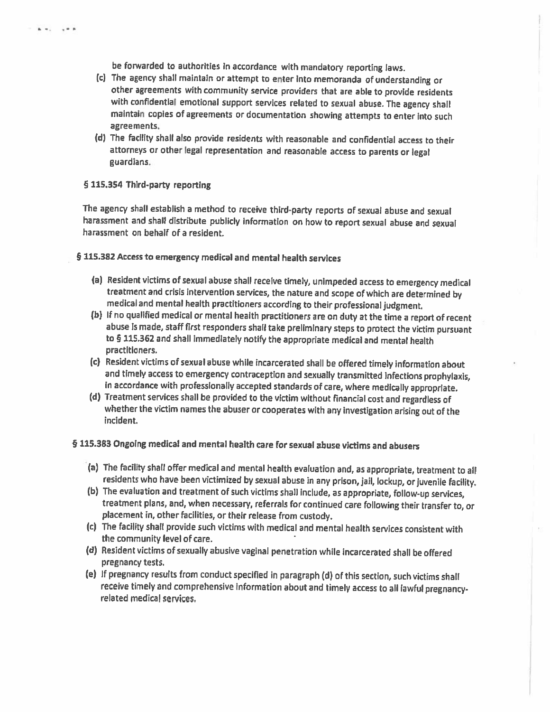be forwarded to authorities in accordance with mandatory reporting laws.

- (c) The agency shall maintain or attempt to enter into memoranda of understanding or other agreements with community service providers that are able to provide residents with confidential emotional support services related to sexual abuse. The agency shall maintain copies of agreements or documentation showing attempts to enter into such agreements.
- (d) The facility shall also provide residents with reasonable and confidential access to their attorneys or other legal representation and reasonable access to parents or legal guardians.

### § 115.354 Third-party reporting

 $k = 1$ 

 $+$ 

The agency shall establish a method to receive third-party reports of sexual abuse and sexual harassment and shall distribute publicly information on how to report sexual abuse and sexual harassment on behalf of a resident.

§ 115.382 Access to emergency medical and mental health services

- (a) Resident victims of sexual abuse shall receive timely, unimpeded access to emergency medical treatment and crisis intervention services, the nature and scope of which are determined by medical and mental health practitioners according to their professional judgment.
- (b) If no qualified medical or mental health practitioners are on duty at the time a report of recent abuse is made, staff first responders shall take preliminary steps to protect the victim pursuant to § 115.362 and shall immediately notify the appropriate medical and mental health practitioners.
- (c) Resident victims of sexual abuse while incarcerated shall be offered timely information about and timely access to emergency contraception and sexually transmitted infections prophylaxis, in accordance with professionally accepted standards of care, where medically appropriate.
- (d) Treatment services shall be provided to the victim without financial cost and regardless of whether the victim names the abuser or cooperates with any investigation arising out of the incident.

§ 115.383 Ongoing medical and mental health care for sexual abuse victims and abusers

- (a) The facility shall offer medical and mental health evaluation and, as appropriate, treatment to all residents who have been victimized by sexual abuse in any prison, jail, lockup, or juvenile facility.
- (b) The evaluation and treatment of such victims shall include, as appropriate, follow-up services, treatment plans, and, when necessary, referrals for continued care following their transfer to, or placement in, other facilities, or their release from custody.
- (c) The facility shall provide such victims with medical and mental health services consistent with the community level of care.
- (d) Resident victims of sexually abusive vaginal penetration while incarcerated shall be offered pregnancy tests.
- (e) If pregnancy results from conduct specified in paragraph (d) of this section, such victims shall receive timely and comprehensive information about and timely access to all lawful pregnancyrelated medical services.